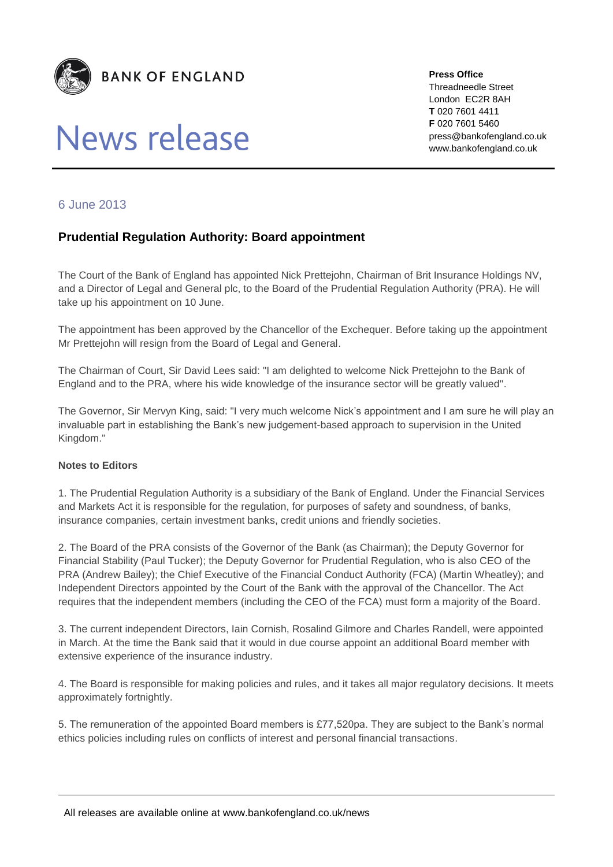

# News release

**Press Office** Threadneedle Street London EC2R 8AH **T** 020 7601 4411 **F** 020 7601 5460 press@bankofengland.co.uk www.bankofengland.co.uk

## 6 June 2013

## **Prudential Regulation Authority: Board appointment**

The Court of the Bank of England has appointed Nick Prettejohn, Chairman of Brit Insurance Holdings NV, and a Director of Legal and General plc, to the Board of the Prudential Regulation Authority (PRA). He will take up his appointment on 10 June.

The appointment has been approved by the Chancellor of the Exchequer. Before taking up the appointment Mr Prettejohn will resign from the Board of Legal and General.

The Chairman of Court, Sir David Lees said: "I am delighted to welcome Nick Prettejohn to the Bank of England and to the PRA, where his wide knowledge of the insurance sector will be greatly valued".

The Governor, Sir Mervyn King, said: "I very much welcome Nick's appointment and I am sure he will play an invaluable part in establishing the Bank's new judgement-based approach to supervision in the United Kingdom."

#### **Notes to Editors**

1. The Prudential Regulation Authority is a subsidiary of the Bank of England. Under the Financial Services and Markets Act it is responsible for the regulation, for purposes of safety and soundness, of banks, insurance companies, certain investment banks, credit unions and friendly societies.

2. The Board of the PRA consists of the Governor of the Bank (as Chairman); the Deputy Governor for Financial Stability (Paul Tucker); the Deputy Governor for Prudential Regulation, who is also CEO of the PRA (Andrew Bailey); the Chief Executive of the Financial Conduct Authority (FCA) (Martin Wheatley); and Independent Directors appointed by the Court of the Bank with the approval of the Chancellor. The Act requires that the independent members (including the CEO of the FCA) must form a majority of the Board.

3. The current independent Directors, Iain Cornish, Rosalind Gilmore and Charles Randell, were appointed in March. At the time the Bank said that it would in due course appoint an additional Board member with extensive experience of the insurance industry.

4. The Board is responsible for making policies and rules, and it takes all major regulatory decisions. It meets approximately fortnightly.

5. The remuneration of the appointed Board members is £77,520pa. They are subject to the Bank's normal ethics policies including rules on conflicts of interest and personal financial transactions.